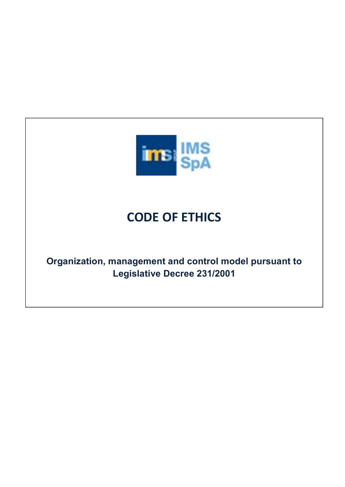

# CODE OF ETHICS

Organization, management and control model pursuant to Legislative Decree 231/2001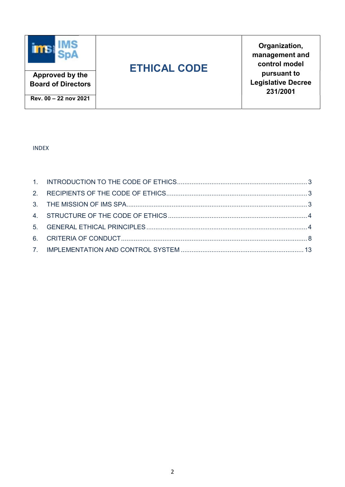

Organization, management and control model pursuant to Legislative Decree 231/2001

Rev. 00 – 22 nov 2021

Approved by the Board of Directors

## INDEX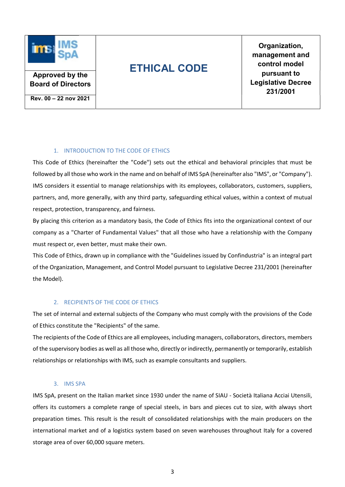

Organization, management and control model pursuant to Legislative Decree 231/2001

Rev. 00 – 22 nov 2021

Approved by the Board of Directors

## 1. INTRODUCTION TO THE CODE OF ETHICS

This Code of Ethics (hereinafter the "Code") sets out the ethical and behavioral principles that must be followed by all those who work in the name and on behalf of IMS SpA (hereinafter also "IMS", or "Company"). IMS considers it essential to manage relationships with its employees, collaborators, customers, suppliers, partners, and, more generally, with any third party, safeguarding ethical values, within a context of mutual respect, protection, transparency, and fairness.

By placing this criterion as a mandatory basis, the Code of Ethics fits into the organizational context of our company as a "Charter of Fundamental Values" that all those who have a relationship with the Company must respect or, even better, must make their own.

This Code of Ethics, drawn up in compliance with the "Guidelines issued by Confindustria" is an integral part of the Organization, Management, and Control Model pursuant to Legislative Decree 231/2001 (hereinafter the Model).

### 2. RECIPIENTS OF THE CODE OF ETHICS

The set of internal and external subjects of the Company who must comply with the provisions of the Code of Ethics constitute the "Recipients" of the same.

The recipients of the Code of Ethics are all employees, including managers, collaborators, directors, members of the supervisory bodies as well as all those who, directly or indirectly, permanently or temporarily, establish relationships or relationships with IMS, such as example consultants and suppliers.

### 3. IMS SPA

IMS SpA, present on the Italian market since 1930 under the name of SIAU - Società Italiana Acciai Utensili, offers its customers a complete range of special steels, in bars and pieces cut to size, with always short preparation times. This result is the result of consolidated relationships with the main producers on the international market and of a logistics system based on seven warehouses throughout Italy for a covered storage area of over 60,000 square meters.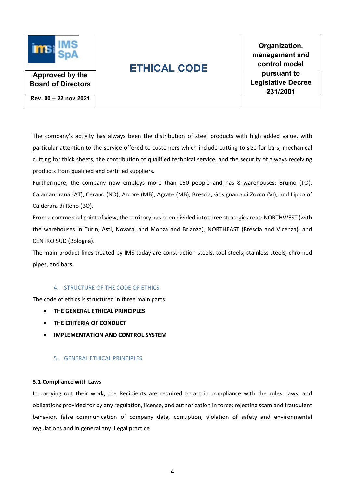

Organization, management and control model pursuant to Legislative Decree 231/2001

Approved by the Board of Directors

Rev. 00 – 22 nov 2021

The company's activity has always been the distribution of steel products with high added value, with particular attention to the service offered to customers which include cutting to size for bars, mechanical cutting for thick sheets, the contribution of qualified technical service, and the security of always receiving products from qualified and certified suppliers.

Furthermore, the company now employs more than 150 people and has 8 warehouses: Bruino (TO), Calamandrana (AT), Cerano (NO), Arcore (MB), Agrate (MB), Brescia, Grisignano di Zocco (VI), and Lippo of Calderara di Reno (BO).

From a commercial point of view, the territory has been divided into three strategic areas: NORTHWEST (with the warehouses in Turin, Asti, Novara, and Monza and Brianza), NORTHEAST (Brescia and Vicenza), and CENTRO SUD (Bologna).

The main product lines treated by IMS today are construction steels, tool steels, stainless steels, chromed pipes, and bars.

## 4. STRUCTURE OF THE CODE OF ETHICS

The code of ethics is structured in three main parts:

- **THE GENERAL ETHICAL PRINCIPLES**
- THE CRITERIA OF CONDUCT
- IMPLEMENTATION AND CONTROL SYSTEM

### 5. GENERAL ETHICAL PRINCIPLES

### 5.1 Compliance with Laws

In carrying out their work, the Recipients are required to act in compliance with the rules, laws, and obligations provided for by any regulation, license, and authorization in force; rejecting scam and fraudulent behavior, false communication of company data, corruption, violation of safety and environmental regulations and in general any illegal practice.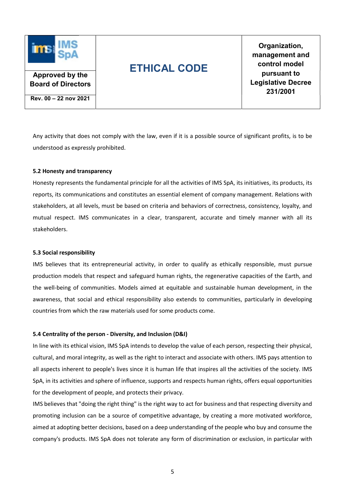

Organization, management and control model pursuant to Legislative Decree 231/2001

Rev. 00 – 22 nov 2021

Approved by the Board of Directors

Any activity that does not comply with the law, even if it is a possible source of significant profits, is to be understood as expressly prohibited.

## 5.2 Honesty and transparency

Honesty represents the fundamental principle for all the activities of IMS SpA, its initiatives, its products, its reports, its communications and constitutes an essential element of company management. Relations with stakeholders, at all levels, must be based on criteria and behaviors of correctness, consistency, loyalty, and mutual respect. IMS communicates in a clear, transparent, accurate and timely manner with all its stakeholders.

### 5.3 Social responsibility

IMS believes that its entrepreneurial activity, in order to qualify as ethically responsible, must pursue production models that respect and safeguard human rights, the regenerative capacities of the Earth, and the well-being of communities. Models aimed at equitable and sustainable human development, in the awareness, that social and ethical responsibility also extends to communities, particularly in developing countries from which the raw materials used for some products come.

## 5.4 Centrality of the person - Diversity, and Inclusion (D&I)

In line with its ethical vision, IMS SpA intends to develop the value of each person, respecting their physical, cultural, and moral integrity, as well as the right to interact and associate with others. IMS pays attention to all aspects inherent to people's lives since it is human life that inspires all the activities of the society. IMS SpA, in its activities and sphere of influence, supports and respects human rights, offers equal opportunities for the development of people, and protects their privacy.

IMS believes that "doing the right thing" is the right way to act for business and that respecting diversity and promoting inclusion can be a source of competitive advantage, by creating a more motivated workforce, aimed at adopting better decisions, based on a deep understanding of the people who buy and consume the company's products. IMS SpA does not tolerate any form of discrimination or exclusion, in particular with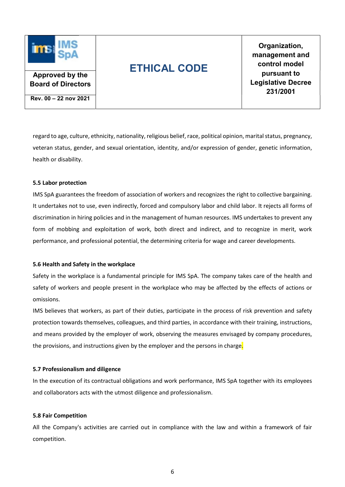

Organization, management and control model pursuant to Legislative Decree 231/2001

Approved by the Board of Directors

Rev. 00 – 22 nov 2021

regard to age, culture, ethnicity, nationality, religious belief, race, political opinion, marital status, pregnancy, veteran status, gender, and sexual orientation, identity, and/or expression of gender, genetic information, health or disability.

### 5.5 Labor protection

IMS SpA guarantees the freedom of association of workers and recognizes the right to collective bargaining. It undertakes not to use, even indirectly, forced and compulsory labor and child labor. It rejects all forms of discrimination in hiring policies and in the management of human resources. IMS undertakes to prevent any form of mobbing and exploitation of work, both direct and indirect, and to recognize in merit, work performance, and professional potential, the determining criteria for wage and career developments.

### 5.6 Health and Safety in the workplace

Safety in the workplace is a fundamental principle for IMS SpA. The company takes care of the health and safety of workers and people present in the workplace who may be affected by the effects of actions or omissions.

IMS believes that workers, as part of their duties, participate in the process of risk prevention and safety protection towards themselves, colleagues, and third parties, in accordance with their training, instructions, and means provided by the employer of work, observing the measures envisaged by company procedures, the provisions, and instructions given by the employer and the persons in charge.

### 5.7 Professionalism and diligence

In the execution of its contractual obligations and work performance, IMS SpA together with its employees and collaborators acts with the utmost diligence and professionalism.

### 5.8 Fair Competition

All the Company's activities are carried out in compliance with the law and within a framework of fair competition.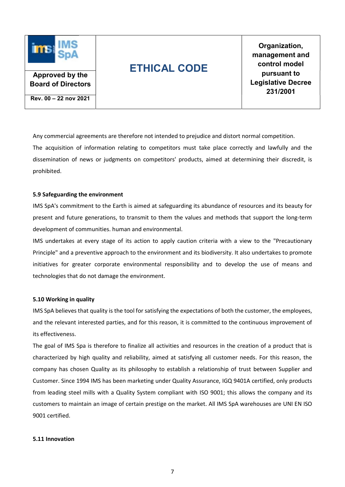

Organization, management and control model pursuant to Legislative Decree 231/2001

Board of Directors Rev. 00 – 22 nov 2021

Approved by the

Any commercial agreements are therefore not intended to prejudice and distort normal competition. The acquisition of information relating to competitors must take place correctly and lawfully and the dissemination of news or judgments on competitors' products, aimed at determining their discredit, is prohibited.

### 5.9 Safeguarding the environment

IMS SpA's commitment to the Earth is aimed at safeguarding its abundance of resources and its beauty for present and future generations, to transmit to them the values and methods that support the long-term development of communities. human and environmental.

IMS undertakes at every stage of its action to apply caution criteria with a view to the "Precautionary Principle" and a preventive approach to the environment and its biodiversity. It also undertakes to promote initiatives for greater corporate environmental responsibility and to develop the use of means and technologies that do not damage the environment.

### 5.10 Working in quality

IMS SpA believes that quality is the tool for satisfying the expectations of both the customer, the employees, and the relevant interested parties, and for this reason, it is committed to the continuous improvement of its effectiveness.

The goal of IMS Spa is therefore to finalize all activities and resources in the creation of a product that is characterized by high quality and reliability, aimed at satisfying all customer needs. For this reason, the company has chosen Quality as its philosophy to establish a relationship of trust between Supplier and Customer. Since 1994 IMS has been marketing under Quality Assurance, IGQ 9401A certified, only products from leading steel mills with a Quality System compliant with ISO 9001; this allows the company and its customers to maintain an image of certain prestige on the market. All IMS SpA warehouses are UNI EN ISO 9001 certified.

#### 5.11 Innovation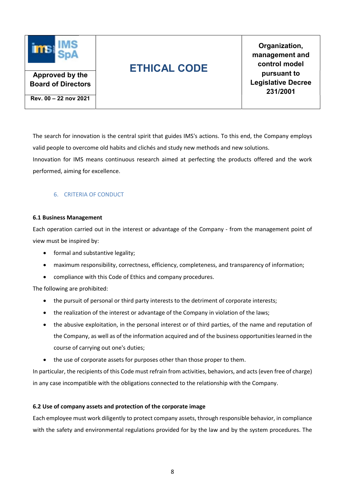

Organization, management and control model pursuant to Legislative Decree 231/2001

Rev. 00 – 22 nov 2021

Approved by the Board of Directors

The search for innovation is the central spirit that guides IMS's actions. To this end, the Company employs valid people to overcome old habits and clichés and study new methods and new solutions. Innovation for IMS means continuous research aimed at perfecting the products offered and the work performed, aiming for excellence.

## 6. CRITERIA OF CONDUCT

## 6.1 Business Management

Each operation carried out in the interest or advantage of the Company - from the management point of view must be inspired by:

- formal and substantive legality;
- maximum responsibility, correctness, efficiency, completeness, and transparency of information;
- compliance with this Code of Ethics and company procedures.

The following are prohibited:

- the pursuit of personal or third party interests to the detriment of corporate interests;
- the realization of the interest or advantage of the Company in violation of the laws;
- the abusive exploitation, in the personal interest or of third parties, of the name and reputation of the Company, as well as of the information acquired and of the business opportunities learned in the course of carrying out one's duties;
- the use of corporate assets for purposes other than those proper to them.

In particular, the recipients of this Code must refrain from activities, behaviors, and acts (even free of charge) in any case incompatible with the obligations connected to the relationship with the Company.

## 6.2 Use of company assets and protection of the corporate image

Each employee must work diligently to protect company assets, through responsible behavior, in compliance with the safety and environmental regulations provided for by the law and by the system procedures. The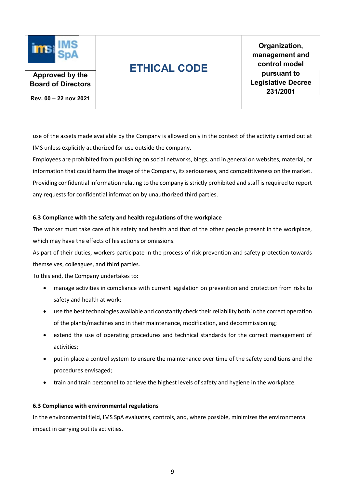

Organization, management and control model pursuant to Legislative Decree 231/2001

Approved by the Board of Directors

Rev. 00 – 22 nov 2021

use of the assets made available by the Company is allowed only in the context of the activity carried out at IMS unless explicitly authorized for use outside the company.

Employees are prohibited from publishing on social networks, blogs, and in general on websites, material, or information that could harm the image of the Company, its seriousness, and competitiveness on the market. Providing confidential information relating to the company is strictly prohibited and staff is required to report any requests for confidential information by unauthorized third parties.

### 6.3 Compliance with the safety and health regulations of the workplace

The worker must take care of his safety and health and that of the other people present in the workplace, which may have the effects of his actions or omissions.

As part of their duties, workers participate in the process of risk prevention and safety protection towards themselves, colleagues, and third parties.

To this end, the Company undertakes to:

- manage activities in compliance with current legislation on prevention and protection from risks to safety and health at work;
- use the best technologies available and constantly check their reliability both in the correct operation of the plants/machines and in their maintenance, modification, and decommissioning;
- extend the use of operating procedures and technical standards for the correct management of activities;
- put in place a control system to ensure the maintenance over time of the safety conditions and the procedures envisaged;
- train and train personnel to achieve the highest levels of safety and hygiene in the workplace.

### 6.3 Compliance with environmental regulations

In the environmental field, IMS SpA evaluates, controls, and, where possible, minimizes the environmental impact in carrying out its activities.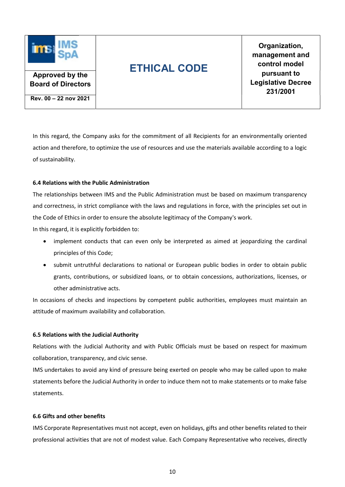

Organization, management and control model pursuant to Legislative Decree 231/2001

Board of Directors

Approved by the

Rev. 00 – 22 nov 2021

In this regard, the Company asks for the commitment of all Recipients for an environmentally oriented action and therefore, to optimize the use of resources and use the materials available according to a logic of sustainability.

## 6.4 Relations with the Public Administration

The relationships between IMS and the Public Administration must be based on maximum transparency and correctness, in strict compliance with the laws and regulations in force, with the principles set out in the Code of Ethics in order to ensure the absolute legitimacy of the Company's work.

In this regard, it is explicitly forbidden to:

- implement conducts that can even only be interpreted as aimed at jeopardizing the cardinal principles of this Code;
- submit untruthful declarations to national or European public bodies in order to obtain public grants, contributions, or subsidized loans, or to obtain concessions, authorizations, licenses, or other administrative acts.

In occasions of checks and inspections by competent public authorities, employees must maintain an attitude of maximum availability and collaboration.

## 6.5 Relations with the Judicial Authority

Relations with the Judicial Authority and with Public Officials must be based on respect for maximum collaboration, transparency, and civic sense.

IMS undertakes to avoid any kind of pressure being exerted on people who may be called upon to make statements before the Judicial Authority in order to induce them not to make statements or to make false statements.

## 6.6 Gifts and other benefits

IMS Corporate Representatives must not accept, even on holidays, gifts and other benefits related to their professional activities that are not of modest value. Each Company Representative who receives, directly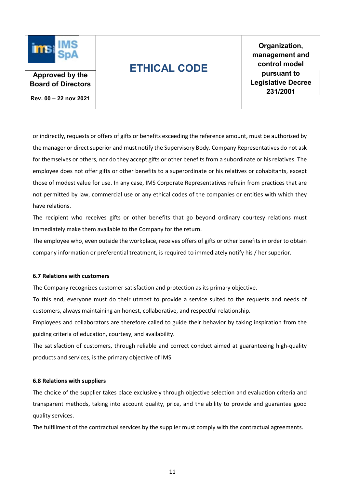

Organization, management and control model pursuant to Legislative Decree 231/2001

Approved by the Board of Directors

Rev. 00 – 22 nov 2021

or indirectly, requests or offers of gifts or benefits exceeding the reference amount, must be authorized by the manager or direct superior and must notify the Supervisory Body. Company Representatives do not ask for themselves or others, nor do they accept gifts or other benefits from a subordinate or his relatives. The employee does not offer gifts or other benefits to a superordinate or his relatives or cohabitants, except those of modest value for use. In any case, IMS Corporate Representatives refrain from practices that are not permitted by law, commercial use or any ethical codes of the companies or entities with which they have relations.

The recipient who receives gifts or other benefits that go beyond ordinary courtesy relations must immediately make them available to the Company for the return.

The employee who, even outside the workplace, receives offers of gifts or other benefits in order to obtain company information or preferential treatment, is required to immediately notify his / her superior.

### 6.7 Relations with customers

The Company recognizes customer satisfaction and protection as its primary objective.

To this end, everyone must do their utmost to provide a service suited to the requests and needs of customers, always maintaining an honest, collaborative, and respectful relationship.

Employees and collaborators are therefore called to guide their behavior by taking inspiration from the guiding criteria of education, courtesy, and availability.

The satisfaction of customers, through reliable and correct conduct aimed at guaranteeing high-quality products and services, is the primary objective of IMS.

#### 6.8 Relations with suppliers

The choice of the supplier takes place exclusively through objective selection and evaluation criteria and transparent methods, taking into account quality, price, and the ability to provide and guarantee good quality services.

The fulfillment of the contractual services by the supplier must comply with the contractual agreements.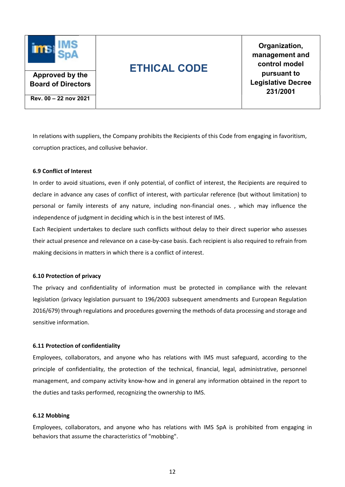

Organization, management and control model pursuant to Legislative Decree 231/2001

Board of Directors Rev. 00 – 22 nov 2021

Approved by the

In relations with suppliers, the Company prohibits the Recipients of this Code from engaging in favoritism, corruption practices, and collusive behavior.

## 6.9 Conflict of Interest

In order to avoid situations, even if only potential, of conflict of interest, the Recipients are required to declare in advance any cases of conflict of interest, with particular reference (but without limitation) to personal or family interests of any nature, including non-financial ones. , which may influence the independence of judgment in deciding which is in the best interest of IMS.

Each Recipient undertakes to declare such conflicts without delay to their direct superior who assesses their actual presence and relevance on a case-by-case basis. Each recipient is also required to refrain from making decisions in matters in which there is a conflict of interest.

### 6.10 Protection of privacy

The privacy and confidentiality of information must be protected in compliance with the relevant legislation (privacy legislation pursuant to 196/2003 subsequent amendments and European Regulation 2016/679) through regulations and procedures governing the methods of data processing and storage and sensitive information.

### 6.11 Protection of confidentiality

Employees, collaborators, and anyone who has relations with IMS must safeguard, according to the principle of confidentiality, the protection of the technical, financial, legal, administrative, personnel management, and company activity know-how and in general any information obtained in the report to the duties and tasks performed, recognizing the ownership to IMS.

#### 6.12 Mobbing

Employees, collaborators, and anyone who has relations with IMS SpA is prohibited from engaging in behaviors that assume the characteristics of "mobbing".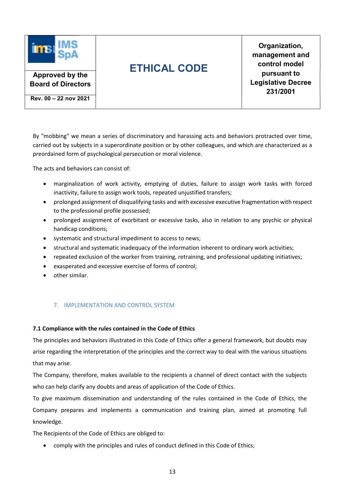

Organization, management and control model pursuant to Legislative Decree 231/2001

Rev. 00 – 22 nov 2021

Approved by the Board of Directors

By "mobbing" we mean a series of discriminatory and harassing acts and behaviors protracted over time, carried out by subjects in a superordinate position or by other colleagues, and which are characterized as a preordained form of psychological persecution or moral violence.

The acts and behaviors can consist of:

- marginalization of work activity, emptying of duties, failure to assign work tasks with forced inactivity, failure to assign work tools, repeated unjustified transfers;
- prolonged assignment of disqualifying tasks and with excessive executive fragmentation with respect to the professional profile possessed;
- prolonged assignment of exorbitant or excessive tasks, also in relation to any psychic or physical handicap conditions;
- systematic and structural impediment to access to news;
- structural and systematic inadequacy of the information inherent to ordinary work activities;
- repeated exclusion of the worker from training, retraining, and professional updating initiatives;
- exasperated and excessive exercise of forms of control;
- other similar.

## 7. IMPLEMENTATION AND CONTROL SYSTEM

## 7.1 Compliance with the rules contained in the Code of Ethics

The principles and behaviors illustrated in this Code of Ethics offer a general framework, but doubts may arise regarding the interpretation of the principles and the correct way to deal with the various situations that may arise.

The Company, therefore, makes available to the recipients a channel of direct contact with the subjects who can help clarify any doubts and areas of application of the Code of Ethics.

To give maximum dissemination and understanding of the rules contained in the Code of Ethics, the Company prepares and implements a communication and training plan, aimed at promoting full knowledge.

The Recipients of the Code of Ethics are obliged to:

comply with the principles and rules of conduct defined in this Code of Ethics;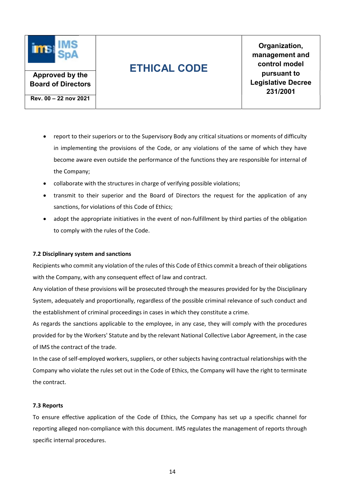

Organization, management and control model pursuant to Legislative Decree 231/2001

Board of Directors Rev. 00 – 22 nov 2021

Approved by the

- report to their superiors or to the Supervisory Body any critical situations or moments of difficulty in implementing the provisions of the Code, or any violations of the same of which they have become aware even outside the performance of the functions they are responsible for internal of the Company;
- collaborate with the structures in charge of verifying possible violations;
- transmit to their superior and the Board of Directors the request for the application of any sanctions, for violations of this Code of Ethics;
- adopt the appropriate initiatives in the event of non-fulfillment by third parties of the obligation to comply with the rules of the Code.

## 7.2 Disciplinary system and sanctions

Recipients who commit any violation of the rules of this Code of Ethics commit a breach of their obligations with the Company, with any consequent effect of law and contract.

Any violation of these provisions will be prosecuted through the measures provided for by the Disciplinary System, adequately and proportionally, regardless of the possible criminal relevance of such conduct and the establishment of criminal proceedings in cases in which they constitute a crime.

As regards the sanctions applicable to the employee, in any case, they will comply with the procedures provided for by the Workers' Statute and by the relevant National Collective Labor Agreement, in the case of IMS the contract of the trade.

In the case of self-employed workers, suppliers, or other subjects having contractual relationships with the Company who violate the rules set out in the Code of Ethics, the Company will have the right to terminate the contract.

## 7.3 Reports

To ensure effective application of the Code of Ethics, the Company has set up a specific channel for reporting alleged non-compliance with this document. IMS regulates the management of reports through specific internal procedures.